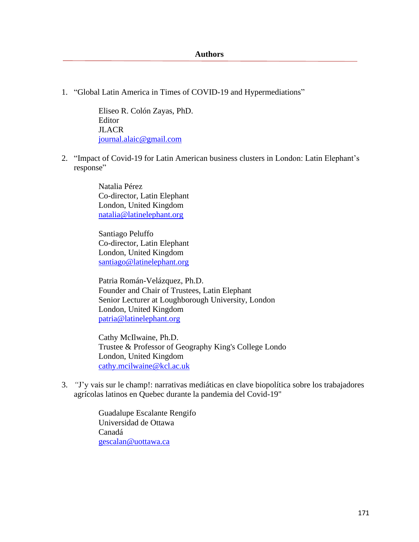## **Authors**

1. "Global Latin America in Times of COVID-19 and Hypermediations"

Eliseo R. Colón Zayas, PhD. Editor **JLACR** [journal.alaic@gmail.com](mailto:journal.alaic@gmail.com)

2. "Impact of Covid-19 for Latin American business clusters in London: Latin Elephant's response"

> Natalia Pérez Co-director, Latin Elephant London, United Kingdom [natalia@latinelephant.org](mailto:natalia@latinelephant.org)

> Santiago Peluffo Co-director, Latin Elephant London, United Kingdom [santiago@latinelephant.org](mailto:santiago@latinelephant.org)

Patria Román-Velázquez, Ph.D. Founder and Chair of Trustees, Latin Elephant Senior Lecturer at Loughborough University, London London, United Kingdom [patria@latinelephant.org](mailto:patria@latinelephant.org)

Cathy McIlwaine, Ph.D. Trustee & Professor of Geography King's College Londo London, United Kingdom [cathy.mcilwaine@kcl.ac.uk](mailto:cathy.mcilwaine@kcl.ac.uk)

3. *"*J'y vais sur le champ!: narrativas mediáticas en clave biopolítica sobre los trabajadores agrícolas latinos en Quebec durante la pandemia del Covid-19"

> Guadalupe Escalante Rengifo Universidad de Ottawa Canadá [gescalan@uottawa.ca](mailto:carlosvalera2002@gmail.com)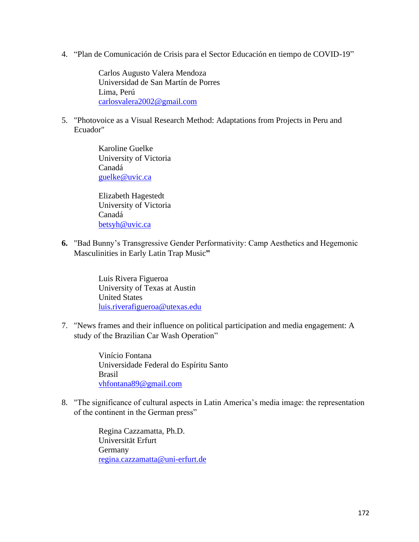4. "Plan de Comunicación de Crisis para el Sector Educación en tiempo de COVID-19"

Carlos Augusto Valera Mendoza Universidad de San Martín de Porres Lima, Perú [carlosvalera2002@gmail.com](mailto:carlosvalera2002@gmail.com)

5. "Photovoice as a Visual Research Method: Adaptations from Projects in Peru and Ecuador"

> Karoline Guelke University of Victoria Canadá [guelke@uvic.ca](mailto:guelke@uvic.ca)

> Elizabeth Hagestedt University of Victoria Canadá [betsyh@uvic.ca](mailto:betsyh@uvic.ca)

**6.** "Bad Bunny's Transgressive Gender Performativity: Camp Aesthetics and Hegemonic Masculinities in Early Latin Trap Music**"**

> Luis Rivera Figueroa University of Texas at Austin United States [luis.riverafigueroa@utexas.edu](mailto:luis.riverafigueroa@utexas.edu)

7. "News frames and their influence on political participation and media engagement: A study of the Brazilian Car Wash Operation"

> Vinício Fontana Universidade Federal do Espíritu Santo Brasil [vhfontana89@gmail.com](mailto:vhfontana89@gmail.com)

8. "The significance of cultural aspects in Latin America's media image: the representation of the continent in the German press"

> Regina Cazzamatta, Ph.D. Universität Erfurt Germany [regina.cazzamatta@uni-erfurt.de](mailto:regina.cazzamatta@uni-erfurt.de)